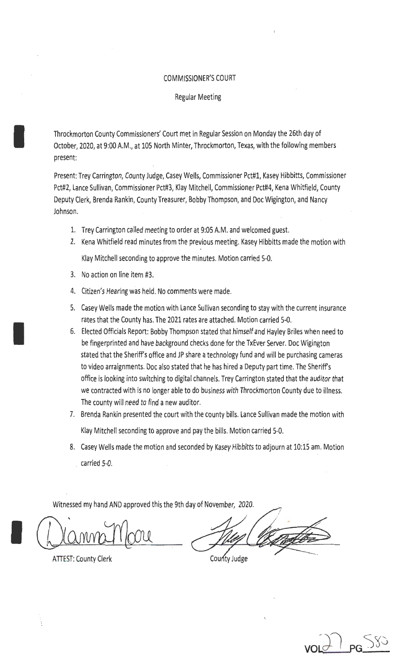### COMMISSIONER'S COURT

### Regular Meeting

Throckmorton County Commissioners' Court met in Regular Session on Monday the 26th day of October, 2020, at 9:00 A.M., at 105 North Minter, Throckmorton, Texas, with the following members present:

Present: Trey Carrington, County Judge, Casey Wells, Commissioner Pct#l, Kasey Hibbitts, Commissioner Pct#2, Lance Sullivan, Commissioner Pct#3, Klay Mitchell, Commissioner Pct#4, Kena Whitfield, County Deputy Clerk, Brenda Rankin, County Treasurer, Bobby Thompson, and Doc Wigington, and Nancy Johnson.

- 1. Trey Carrington called meeting to order at 9:05 A.M. and welcomed guest.
- 2. Kena Whitfield read minutes from the previous meeting. Kasey Hibbitts made the motion with Klay Mitchell seconding to approve the minutes. Motion carried 5-0.
- 3. No action on line item #3.

I

I

- 4. Citizen's Hearing was held. No comments were made.
- 5. Casey Wells made the motion with Lance Sullivan seconding to stay with the current insurance rates that the County has. The 2021 rates are attached. Motion carried 5-0.
- 6. Elected Officials Report: Bobby Thompson stated that himself and Hayley Briles when need to be fingerprinted and have background checks done for the TxEver Server. Doc Wigington stated that the Sheriff's office and JP share a technology fund and will be purchasing cameras to video arraignments. Doc also stated that he has hired a Deputy part time. The Sheriff's office is looking into switching to digital channels. Trey Carrington stated that the auditor that we contracted with is no longer able to do business with Throckmorton County due to illness. The county will need to find a new auditor.
- 7. Brenda Rankin presented the court with the county bills. Lance Sullivan made the motion with Klay Mitchell seconding to approve and pay the bills. Motion carried 5-0.
- 8. Casey Wells made the motion and seconded by Kasey Hibbitts to adjourn at 10:15 am. Motion . carried 5-0.

Witnessed my hand AND approved this the 9th day of November, 2020.

**ATTEST: County Clerk** 

County Judge

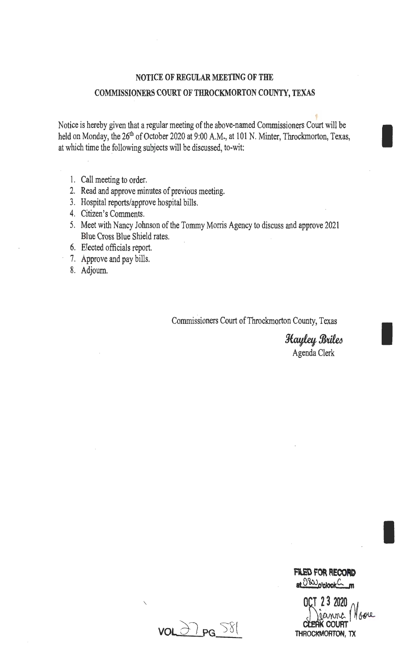## NOTICE OF REGULAR MEETING OF THE COMMISSIONERS COURT OF THROCKMORTON COUNTY, TEXAS

Notice is hereby given that a regular meeting of the above-named Commissioners Court will be held on Monday, the 26<sup>th</sup> of October 2020 at 9:00 A.M., at 101 N. Minter, Throckmorton, Texas, at which time the following subjects will be discussed, to-wit:

- 1. Call meeting to order.
- 2. Read and approve minutes of previous meeting.
- 3. Hospital reports/approve hospital bills.
- 4. Citizen's Comments.
- 5. Meet with Nancy Johnson of the Tommy Morris Agency to discuss and approve 2021 Blue Cross Blue Shield rates.
- 6. Elected officials report.
- 7. Approve and pay bills.
- 8. Adjourn.

Commissioners Court of Throckmorton County, Texas

Hayley Briles Agenda Clerk

I

I

**VOL 27 PG** S81

 $\overline{\phantom{a}}$ 

 $O(1)$   $2$   $2$   $2020$   $M_{\odot}$ THROCKMORTON, TX OCT 23 2020<br>CLEAK COURT<br>FROCKMORTON, TX

**Fl.ED FOR RECORD**  at <sup>080</sup>o'clock<sup>C</sup>\_m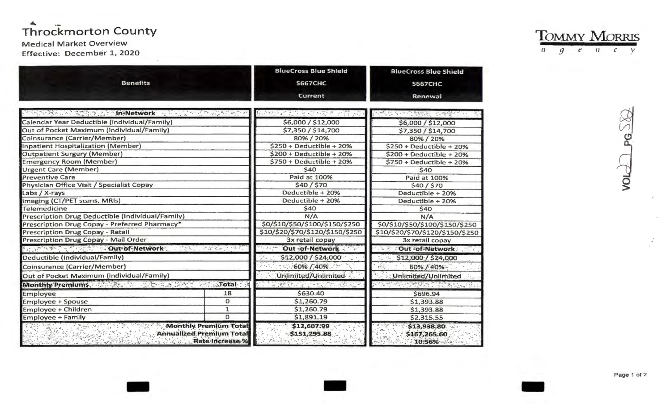# Throckmorton County

## **Medical Market Overview**

Effective: December 1, 2020

| <b>Benefits</b>                                             |                                                                                           | <b>BlueCross Blue Shield</b><br><b>S667CHC</b><br>Current | <b>BlueCross Blue Shield</b><br><b>S667CHC</b><br><b>Renewal</b> |  |
|-------------------------------------------------------------|-------------------------------------------------------------------------------------------|-----------------------------------------------------------|------------------------------------------------------------------|--|
| PRODUCT STATE OF THE Network of the Trunk the STATE ST      |                                                                                           | 医神经性病 法法律 医神经                                             |                                                                  |  |
| Calendar Year Deductible (individual/Family)                |                                                                                           | \$6,000 / \$12,000                                        | \$6,000 / \$12,000                                               |  |
| Out of Pocket Maximum (individual/Family)                   |                                                                                           | \$7,350 / \$14,700                                        | \$7,350 / \$14,700                                               |  |
| Coinsurance (Carrier/Member)                                |                                                                                           | 80%/20%                                                   | 80%/20%                                                          |  |
| <b>Inpatient Hospitalization (Member)</b>                   |                                                                                           | $$250 + Deductible + 20%$                                 | $$250 + Deductible + 20\%$                                       |  |
| <b>Outpatient Surgery (Member)</b>                          |                                                                                           | $$200 + Deductible + 20%$                                 | $$200 + Deductible + 20%$                                        |  |
| <b>Emergency Room (Member)</b>                              |                                                                                           | $$750 + Deductible + 20%$                                 | $$750 + Deductible + 20%$                                        |  |
| <b>Urgent Care (Member)</b>                                 |                                                                                           | \$40                                                      | \$40                                                             |  |
| <b>Preventive Care</b>                                      |                                                                                           | Paid at 100%                                              | Paid at 100%                                                     |  |
| Physician Office Visit / Specialist Copay                   |                                                                                           | \$40/\$70                                                 | \$40/\$70                                                        |  |
| Labs / X-rays                                               |                                                                                           | Deductible + 20%                                          | Deductible + 20%                                                 |  |
| Imaging (CT/PET scans, MRIs)                                |                                                                                           | Deductible + 20%                                          | Deductible + 20%                                                 |  |
| Telemedicine                                                |                                                                                           | \$40                                                      | \$40                                                             |  |
| Prescription Drug Deductible (Individual/Family)            |                                                                                           | N/A                                                       | N/A                                                              |  |
| Prescription Drug Copay - Preferred Pharmacy*               |                                                                                           | \$0/\$10/\$50/\$100/\$150/\$250                           | \$0/\$10/\$50/\$100/\$150/\$250                                  |  |
| <b>Prescription Drug Copay - Retail</b>                     |                                                                                           | \$10/\$20/\$70/\$120/\$150/\$250                          | \$10/\$20/\$70/\$120/\$150/\$250                                 |  |
| Prescription Drug Copay - Mail Order                        |                                                                                           | 3x retail copay                                           | 3x retail copay                                                  |  |
| <b>Dut-of-Network:</b><br>化学学院 化学数学家 计设备                    |                                                                                           | Out -of-Network                                           | Out -of-Network<br>$, 78 - 7$                                    |  |
| Deductible (Individual/Family)                              |                                                                                           | \$12,000 / \$24,000                                       | \$12,000 / \$24,000                                              |  |
| Coinsurance (Carrier/Member)                                |                                                                                           | 60% / 40%                                                 | 60% / 40%                                                        |  |
| Out of Pocket Maximum (individual/Family)                   |                                                                                           | Unlimited/Unlimited                                       | Unlimited/Unlimited                                              |  |
| Monthly Premiums, Analysis of the Constitution of the Total |                                                                                           |                                                           | de seu con                                                       |  |
| Employee                                                    | 18                                                                                        | \$630.40                                                  | \$696.94                                                         |  |
| <b>Employee + Spouse</b>                                    | $\mathbf{O}$                                                                              | \$1,260.79                                                | \$1,393.88                                                       |  |
| Employee + Children                                         | $\mathbf{1}$                                                                              | \$1,260.79                                                | \$1,393.88                                                       |  |
| <b>Employee + Family</b>                                    | $\Omega$                                                                                  | \$1,891.19                                                | \$2,315.55                                                       |  |
|                                                             | <b>Monthly Premium Total</b><br><b>Annualized Premium Total</b><br><b>Rate Increase %</b> | \$12,607.99<br>\$151,295.88                               | \$13,938.80<br>\$167,265.60<br>10:56%                            |  |

**TOMMY MORRIS**  $a \quad g \quad c \quad n \quad c \quad y$ 

VOLL

Page 1 of 2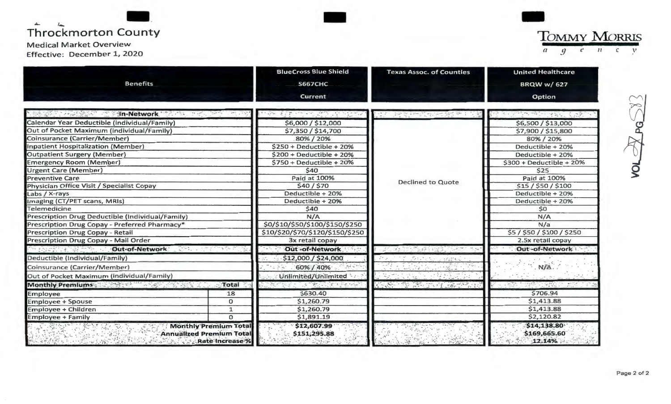| <b>Benefits</b>                                     | <b>BlueCross Blue Shield</b>           | <b>Texas Assoc. of Counties</b> | <b>United Healthcare</b>  |  |
|-----------------------------------------------------|----------------------------------------|---------------------------------|---------------------------|--|
|                                                     |                                        |                                 |                           |  |
|                                                     | <b>S667CHC</b>                         |                                 | <b>BRQW w/627</b>         |  |
|                                                     | <b>Current</b>                         |                                 | Option                    |  |
| <b>MARKET ARE SHIP Network</b> The State of the     |                                        |                                 |                           |  |
| Calendar Year Deductible (individual/Family)        | \$6,000 / \$12,000                     |                                 | \$6,500 / \$13,000        |  |
| Out of Pocket Maximum (individual/Family)           | \$7,350 / \$14,700                     |                                 | \$7,900 / \$15,800        |  |
| Coinsurance (Carrier/Member)                        | 80% / 20%                              |                                 | 80% / 20%                 |  |
| Inpatient Hospitalization (Member)                  | $$250 + Deductible + 20%$              |                                 | Deductible + 20%          |  |
| <b>Outpatient Surgery (Member)</b>                  | $$200 + Deductible + 20%$              |                                 | Deductible + 20%          |  |
| <b>Emergency Room (Member)</b>                      | $$750 + Deductible + 20%$              |                                 | $$300 + Deductible + 20%$ |  |
| <b>Urgent Care (Member)</b>                         | \$40                                   |                                 | \$25                      |  |
| <b>Preventive Care</b>                              | Paid at 100%                           | <b>Declined to Quote</b>        | Paid at 100%              |  |
| Physician Office Visit / Specialist Copay           | \$40/\$70                              |                                 | \$15 / \$50 / \$100       |  |
| Labs / X-rays                                       | Deductible + 20%                       |                                 | Deductible + 20%          |  |
| Imaging (CT/PET scans, MRIs)                        | Deductible + 20%                       |                                 | Deductible + 20%          |  |
| Telemedicine                                        | \$40                                   |                                 | \$0                       |  |
| Prescription Drug Deductible (Individual/Family)    | N/A<br>\$0/\$10/\$50/\$100/\$150/\$250 |                                 | N/A                       |  |
| Prescription Drug Copay - Preferred Pharmacy*       |                                        |                                 | N/a                       |  |
| Prescription Drug Copay - Retail                    | \$10/\$20/\$70/\$120/\$150/\$250       |                                 | \$5/\$50/\$100/\$250      |  |
| Prescription Drug Copay - Mail Order                | 3x retail copay                        |                                 | 2.5x retail copay         |  |
| Out-of-Network                                      | Out -of-Network                        | Andream School and College      | Out-of-Network            |  |
| Deductible (Individual/Family)                      | \$12,000 / \$24,000                    | ブロット ホール げんさく                   |                           |  |
| Coinsurance (Carrier/Member)                        | 60% / 40%                              |                                 | N/A.                      |  |
| Out of Pocket Maximum (individual/Family)           | Unlimited/Unlimited                    |                                 |                           |  |
| Monthly Premiums and Management of the Second Total | <b>CONSIGNATION</b>                    | The South Party of the South of | $-1.9457$                 |  |
| 18<br>Employee                                      | \$630.40                               |                                 | \$706.94                  |  |
| $\circ$<br><b>Employee + Spouse</b>                 | \$1,260.79                             |                                 | \$1,413.88                |  |
| $\mathbf{1}$<br>Employee + Children                 | \$1,260.79                             |                                 | \$1,413.88                |  |
| $\Omega$<br><b>Employee + Family</b>                | \$1,891.19                             |                                 | \$2,120.82                |  |

 $\widetilde{\wedge}$ ۴r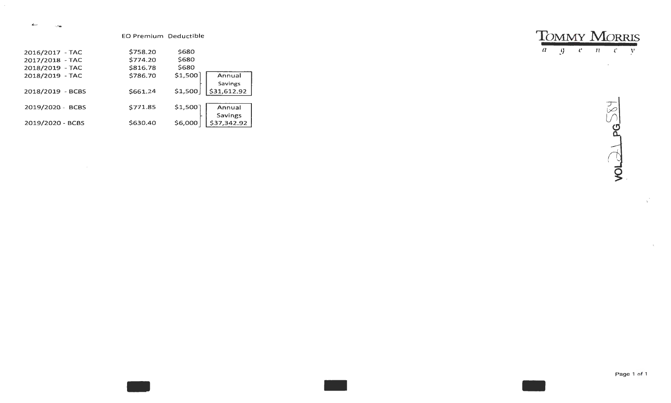$\overline{\phantom{a}}$  $\sim 1$  and

EO Premium Deductible

| 2016/2017 - TAC  | \$758.20 | \$680   |             |
|------------------|----------|---------|-------------|
| 2017/2018 - TAC  | \$774.20 | \$680   |             |
| 2018/2019 - TAC  | \$816.78 | \$680   |             |
| 2018/2019 - TAC  | \$786.70 | \$1,500 | Annual      |
|                  |          |         | Savings     |
| 2018/2019 - BCBS | \$661.24 | \$1,500 | \$31,612.92 |
|                  |          |         |             |
| 2019/2020 - BCBS | \$771.85 | \$1,500 | Annual      |
|                  |          |         | Savings     |
| 2019/2020 - BCBS | \$630.40 | \$6,000 | \$37,342.92 |

 $T_{\overline{a} \quad g}$   $\overline{g}$   $\overline{g}$   $\overline{g}$   $\overline{g}$   $\overline{g}$   $\overline{g}$   $\overline{g}$ 

 $\mathcal{L}^{\text{max}}_{\text{max}}$ 



 $\mathcal{Q}^{\mathcal{P}}$ 

 $\mathcal{A}^{\pm}$ 

Page 1 of 1